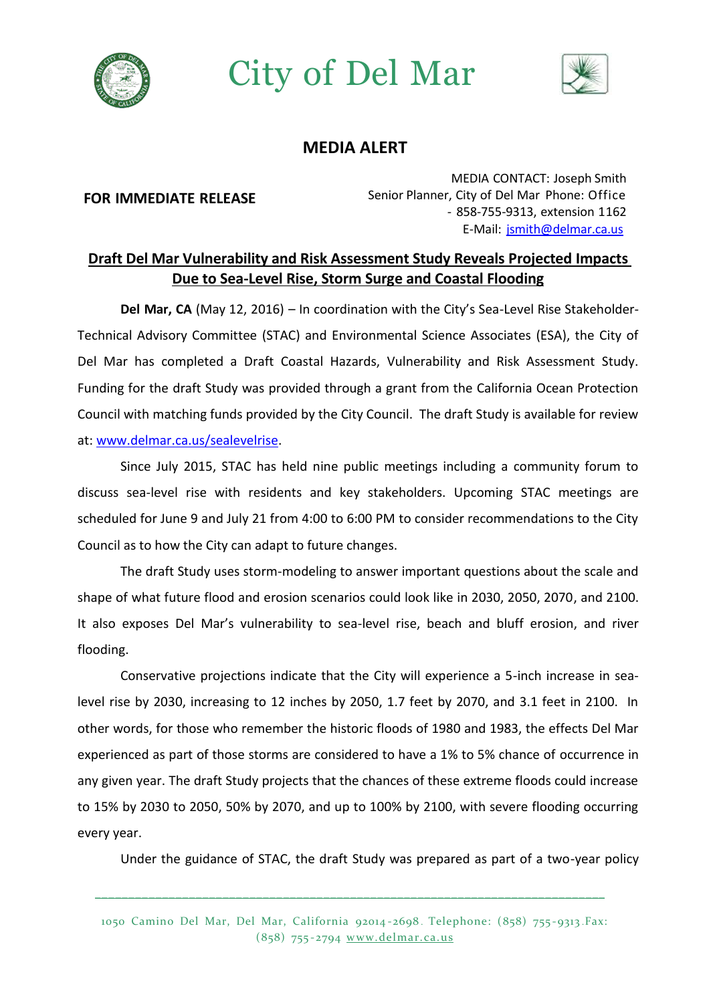

## City of Del Mar



## **MEDIA ALERT**

## **FOR IMMEDIATE RELEASE**

MEDIA CONTACT: Joseph Smith Senior Planner, City of Del Mar Phone: Office - 858-755-9313, extension 1162 E-Mail: [jsmith@delmar.ca.us](mailto:jsmith@delmar.ca.us)

## **Draft Del Mar Vulnerability and Risk Assessment Study Reveals Projected Impacts Due to Sea-Level Rise, Storm Surge and Coastal Flooding**

**Del Mar, CA** (May 12, 2016) – In coordination with the City's Sea-Level Rise Stakeholder-Technical Advisory Committee (STAC) and Environmental Science Associates (ESA), the City of Del Mar has completed a Draft Coastal Hazards, Vulnerability and Risk Assessment Study. Funding for the draft Study was provided through a grant from the California Ocean Protection Council with matching funds provided by the City Council. The draft Study is available for review at[: www.delmar.ca.us/sealevelrise.](file:///C:/Users/nchatterjee/AppData/Local/Microsoft/Windows/Temporary%20Internet%20Files/Content.Outlook/0177ROYG/www.delmar.ca.us/sealevelrise)

Since July 2015, STAC has held nine public meetings including a community forum to discuss sea-level rise with residents and key stakeholders. Upcoming STAC meetings are scheduled for June 9 and July 21 from 4:00 to 6:00 PM to consider recommendations to the City Council as to how the City can adapt to future changes.

The draft Study uses storm-modeling to answer important questions about the scale and shape of what future flood and erosion scenarios could look like in 2030, 2050, 2070, and 2100. It also exposes Del Mar's vulnerability to sea-level rise, beach and bluff erosion, and river flooding.

Conservative projections indicate that the City will experience a 5-inch increase in sealevel rise by 2030, increasing to 12 inches by 2050, 1.7 feet by 2070, and 3.1 feet in 2100. In other words, for those who remember the historic floods of 1980 and 1983, the effects Del Mar experienced as part of those storms are considered to have a 1% to 5% chance of occurrence in any given year. The draft Study projects that the chances of these extreme floods could increase to 15% by 2030 to 2050, 50% by 2070, and up to 100% by 2100, with severe flooding occurring every year.

Under the guidance of STAC, the draft Study was prepared as part of a two-year policy

\_\_\_\_\_\_\_\_\_\_\_\_\_\_\_\_\_\_\_\_\_\_\_\_\_\_\_\_\_\_\_\_\_\_\_\_\_\_\_\_\_\_\_\_\_\_\_\_\_\_\_\_\_\_\_\_\_\_\_\_\_\_\_\_\_\_\_\_\_\_\_\_\_\_\_\_